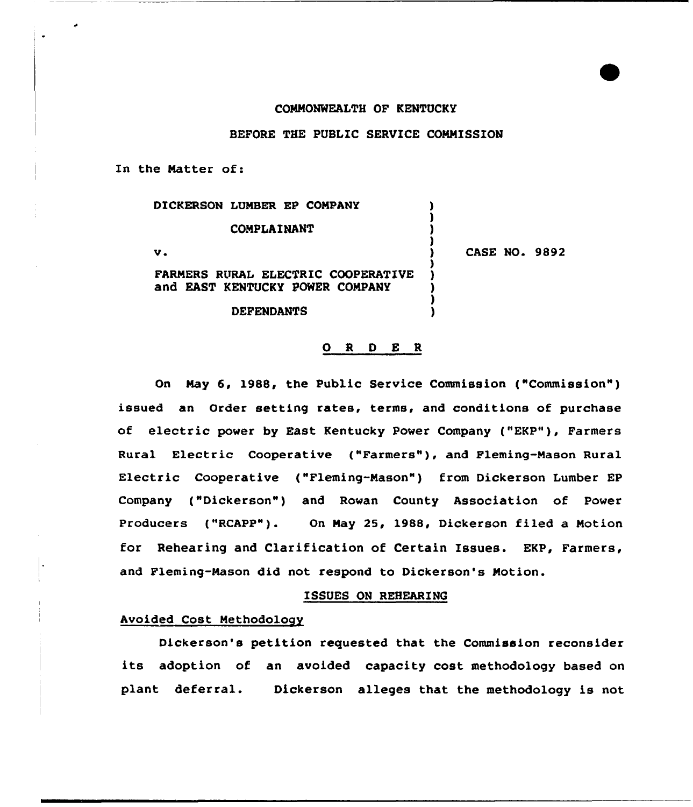#### COMMONWEALTH OF KENTUCKY

BEFORE THE PUBLIC SERVICE COMMISSION

In the Matter of:

| DICKERSON LUMBER EP COMPANY                                           |                      |
|-----------------------------------------------------------------------|----------------------|
| COMPLAINANT                                                           |                      |
| v.                                                                    | <b>CASE NO. 9892</b> |
| FARMERS RURAL ELECTRIC COOPERATIVE<br>and EAST KENTUCKY POWER COMPANY |                      |
| <b>DEFENDANTS</b>                                                     |                      |

#### O R D E R

On May 6, 1988, the Public Service Commission ("Commission") issued an Order setting rates, terms, and conditions of purchase of electric power by East Kentucky Power Company ("EKP"), Farmers Rural Electric Cooperative ("Farmers" ), and Fleming-Mason Rural Electric Cooperative ("Fleming-Mason") from Dickerson Lumber EP Company ("Dickerson") and Rowan County Association of Power Producers ("RCAPP"). On Nay 25, 1988, Dickerson filed a Notion for Rehearing and Clarification of Certain Issues. EKP, Farmers, and Fleming-Nason did not respond to Dickerson's Notion.

#### ISSUES ON REHEARINQ

## Avoided Cost Methodology

Dickerson's petition requested that the Commission reconsider its adoption of an avoided capacity cost methodology based on plant deferral. Dickerson alleges that the methodology is not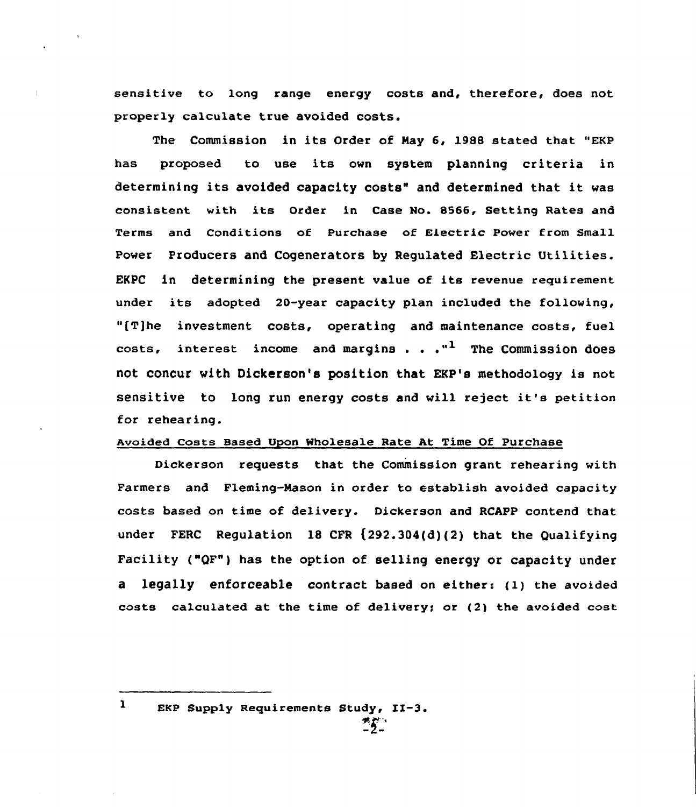sensitive to long range energy costs and, therefore, does not properly calculate true avoided costs.

The Commission in its Order of Nay 6, 1988 stated that "EKp has proposed to use its own system planning criteria in determining its avoided capacity costs" and determined that it was consistent with its Order in Case No. 8566, Setting Rates and Terms and Conditions of Purchase of Electric Power from Small Power Producers and Cogenerators by Requlated Electric Utilities. EKPC in determining the present value of its revenue requirement under its adopted 20-year capacity plan included the following, "[T]he investment costs, operating and maintenance costs, fuel costs, interest income and margins . .  $\cdot$ <sup>1</sup> The Commission does not concur with Dickerson's position that EKP's methodology is not sensitive to long run energy costs and will reject it's petition for rehearing.

#### Avoided Costs Based Upon Wholesale Rate At Time Of Purchase

Dickerson requests that the Commission grant rehearing with Farmers and Fleming-Mason in order to establish avoided capacity costs based on time of delivery. Dickerson and RCAPP contend that under FERC Regulation 18 CFR (292.304(d)(2) that the Qualifying Facility ("QF") has the option of selling energy or capacity under a legally enforceable contract based on either: (1} the avoided costs calculated at the time of delivery; or (2} the avoided cost

EKP Supply Requirements Study, II-3.

 $\mathbf{r}$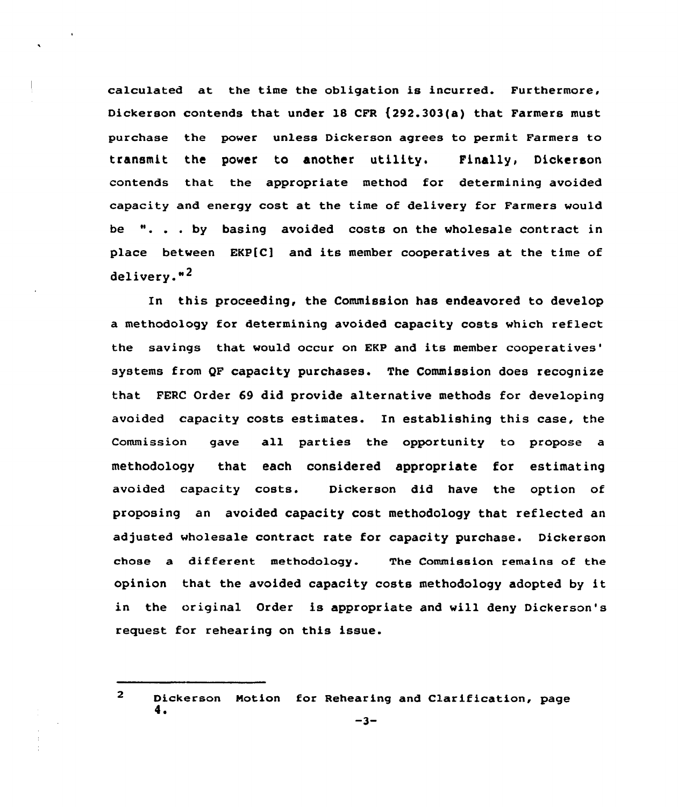calculated at the time the obligation is incurred. Furthermore, Dickerson contends that under 18 CFR (292.303(e) that Farmers must purchase the power unless Dickerson agrees to permit Farmers to transmit the power to another utility. Finally, Dickerson contends that the appropriate method for determining avoided capacity and energy cost at the time of delivery for Farmers would be ". . . by basing avoided costs on the wholesale contract in place between EKP[C] and its member cooperatives at the time of delivery."<sup>2</sup>

In this proceeding, the Commission has endeavored to develop a methodology for determining avoided capacity costs which reflect the savings that would occur on EKP and its member cooperatives' systems from QF capacity purchases. The Commission does recognize that FERC Order 69 did provide alternative methods for developing avoided capacity costs estimates. In establishing this case, the Commission gave all parties the opportunity to propose a methodology that each considered appropriate for estimating avoided capacity costs. Dickerson did have the option of proposing an avoided capacity cost methodology that reflected an adjusted wholesale contract rate for capacity purchase. Dickerson chose a different methodology. The Commission remains of the opinion that the avoided capacity costs methodology adopted by it in the original Order is appropriate and will deny Dickerson's request for rehearing on this issue.

 $\overline{2}$ Dickerson Motion for Rehearing and Clarification, page  $-3-$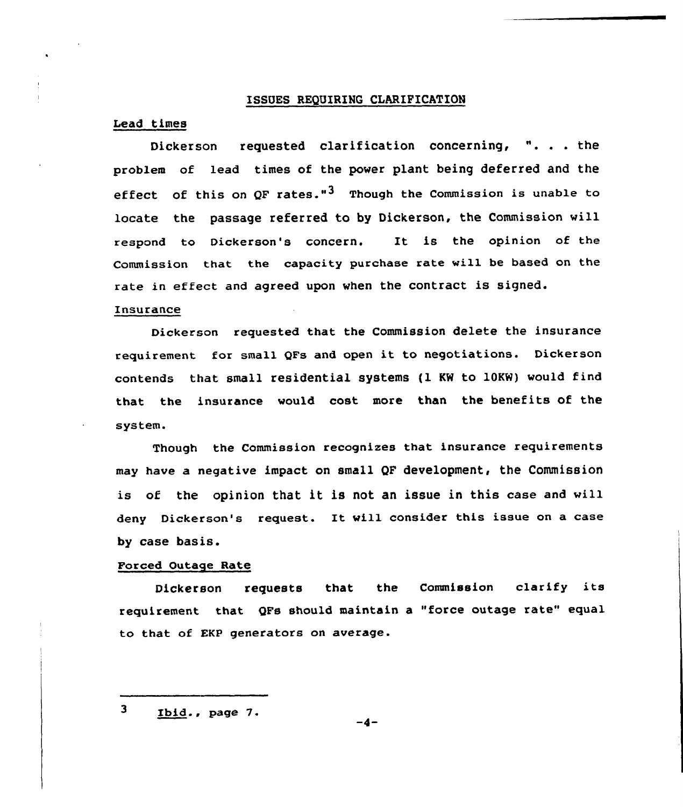## ISSUES REQUIRING CLARIFICATION

# Lead times

Dickerson requested clarification concerning, ". . . the problem of lead times of the power plant being deferred and the effect of this on OF rates."<sup>3</sup> Though the Commission is unable to locate the passage referred to by Dickerson, the Commission will respond to Dickerson's concern. It is the opinion of the Commission that the capacity purchase rate will be based on the rate in effect and agreed upon when the contract is signed.

## Insurance

Dickerson requested that the Commission delete the insurance requirement for small QFs and open it to negotiations. Dickerson contends that small residential systems {1 KW to 10KW) would find that the insurance would cost more than the benefits of the system.

Though the Commission recognizes that insurance requirements may have a negative impact on small QF development, the Commission is of the opinion that it is not an issue in this case and will deny Dickerson's request. It vill consider this issue on <sup>a</sup> case by case basis.

## Forced Outage Rate

Dickerson requests that the Commission clarify its requirement that QFs should maintain a "force outage rate" equal to that of EKP generators on average.

 $\overline{\mathbf{3}}$ Ibid.. page 7.

 $-4-$